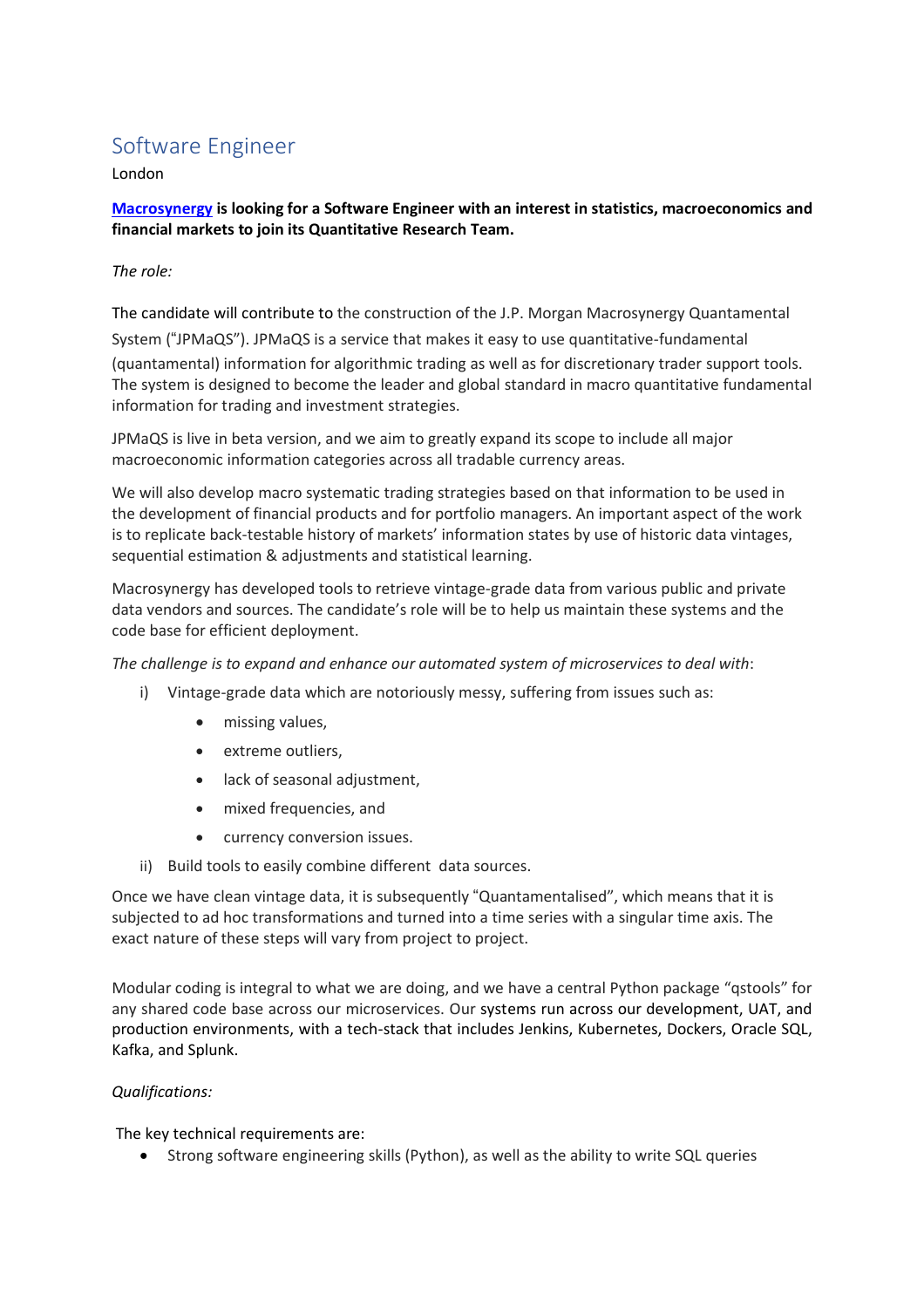## Software Engineer

London

**[Macrosynergy](https://www.macrosynergy.com/) is looking for a Software Engineer with an interest in statistics, macroeconomics and financial markets to join its Quantitative Research Team.**

*The role:*

The candidate will contribute to the construction of the J.P. Morgan Macrosynergy Quantamental

System ("JPMaQS"). JPMaQS is a service that makes it easy to use quantitative-fundamental (quantamental) information for algorithmic trading as well as for discretionary trader support tools. The system is designed to become the leader and global standard in macro quantitative fundamental information for trading and investment strategies.

JPMaQS is live in beta version, and we aim to greatly expand its scope to include all major macroeconomic information categories across all tradable currency areas.

We will also develop macro systematic trading strategies based on that information to be used in the development of financial products and for portfolio managers. An important aspect of the work is to replicate back-testable history of markets' information states by use of historic data vintages, sequential estimation & adjustments and statistical learning.

Macrosynergy has developed tools to retrieve vintage-grade data from various public and private data vendors and sources. The candidate's role will be to help us maintain these systems and the code base for efficient deployment.

*The challenge is to expand and enhance our automated system of microservices to deal with*:

- i) Vintage-grade data which are notoriously messy, suffering from issues such as:
	- missing values,
	- extreme outliers,
	- lack of seasonal adjustment,
	- mixed frequencies, and
	- currency conversion issues.
- ii) Build tools to easily combine different data sources.

Once we have clean vintage data, it is subsequently "Quantamentalised", which means that it is subjected to ad hoc transformations and turned into a time series with a singular time axis. The exact nature of these steps will vary from project to project.

Modular coding is integral to what we are doing, and we have a central Python package "qstools" for any shared code base across our microservices. Our systems run across our development, UAT, and production environments, with a tech-stack that includes Jenkins, Kubernetes, Dockers, Oracle SQL, Kafka, and Splunk.

## *Qualifications:*

The key technical requirements are:

• Strong software engineering skills (Python), as well as the ability to write SQL queries